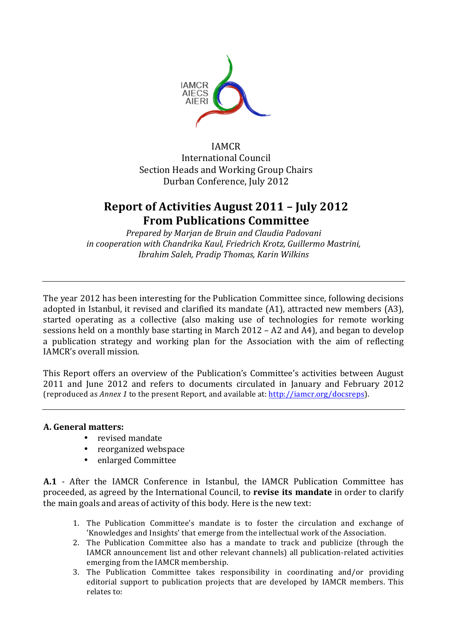

IAMCR International Council Section Heads and Working Group Chairs Durban Conference, July 2012

# **Report of Activities August 2011 - July 2012 From Publications Committee**

*Prepared by Marjan de Bruin and Claudia Padovani* in cooperation with Chandrika Kaul, Friedrich Krotz, Guillermo Mastrini, *Ibrahim Saleh, Pradip Thomas, Karin Wilkins*

The year 2012 has been interesting for the Publication Committee since, following decisions adopted in Istanbul, it revised and clarified its mandate  $(A1)$ , attracted new members  $(A3)$ , started operating as a collective (also making use of technologies for remote working sessions held on a monthly base starting in March  $2012 - A2$  and  $A4$ ), and began to develop a publication strategy and working plan for the Association with the aim of reflecting IAMCR's overall mission.

This Report offers an overview of the Publication's Committee's activities between August 2011 and June 2012 and refers to documents circulated in January and February 2012 (reproduced as *Annex 1* to the present Report, and available at: http://iamcr.org/docsreps).

# **A. General matters:**

- revised mandate
- reorganized webspace
- enlarged Committee

**A.1** - After the IAMCR Conference in Istanbul, the IAMCR Publication Committee has proceeded, as agreed by the International Council, to **revise its mandate** in order to clarify the main goals and areas of activity of this body. Here is the new text:

- 1. The Publication Committee's mandate is to foster the circulation and exchange of 'Knowledges and Insights' that emerge from the intellectual work of the Association.
- 2. The Publication Committee also has a mandate to track and publicize (through the IAMCR announcement list and other relevant channels) all publication-related activities emerging from the IAMCR membership.
- 3. The Publication Committee takes responsibility in coordinating and/or providing editorial support to publication projects that are developed by IAMCR members. This relates to: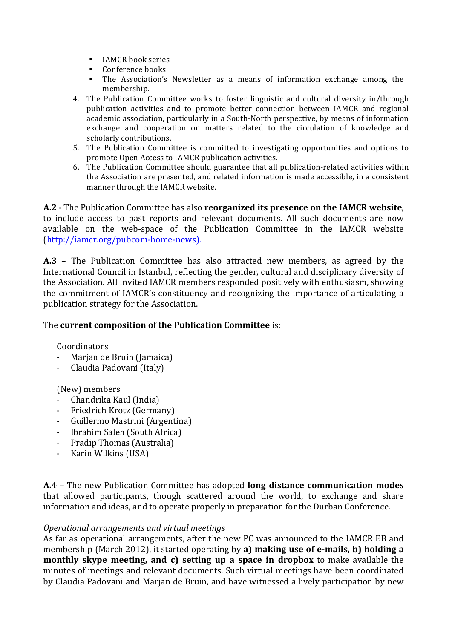- **IAMCR** book series
- Conference books
- The Association's Newsletter as a means of information exchange among the membership.
- 4. The Publication Committee works to foster linguistic and cultural diversity in/through publication activities and to promote better connection between IAMCR and regional academic association, particularly in a South-North perspective, by means of information exchange and cooperation on matters related to the circulation of knowledge and scholarly contributions.
- 5. The Publication Committee is committed to investigating opportunities and options to promote Open Access to IAMCR publication activities.
- 6. The Publication Committee should guarantee that all publication-related activities within the Association are presented, and related information is made accessible, in a consistent manner through the IAMCR website.

A.2 - The Publication Committee has also **reorganized its presence on the IAMCR website**, to include access to past reports and relevant documents. All such documents are now available on the web-space of the Publication Committee in the IAMCR website (http://iamcr.org/pubcom-home-news).

**A.3** – The Publication Committee has also attracted new members, as agreed by the International Council in Istanbul, reflecting the gender, cultural and disciplinary diversity of the Association. All invited IAMCR members responded positively with enthusiasm, showing the commitment of IAMCR's constituency and recognizing the importance of articulating a publication strategy for the Association.

# The **current composition of the Publication Committee** is:

**Coordinators** 

- Marjan de Bruin (Jamaica)
- Claudia Padovani (Italy)

(New) members

- Chandrika Kaul (India)
- Friedrich Krotz (Germany)
- Guillermo Mastrini (Argentina)
- Ibrahim Saleh (South Africa)
- Pradip Thomas (Australia)
- Karin Wilkins (USA)

A.4 - The new Publication Committee has adopted **long distance communication modes** that allowed participants, though scattered around the world, to exchange and share information and ideas, and to operate properly in preparation for the Durban Conference.

# *Operational arrangements and virtual meetings*

As far as operational arrangements, after the new PC was announced to the IAMCR EB and membership (March 2012), it started operating by a) making use of e-mails, b) holding a **monthly skype meeting, and c) setting up a space in dropbox** to make available the minutes of meetings and relevant documents. Such virtual meetings have been coordinated by Claudia Padovani and Marjan de Bruin, and have witnessed a lively participation by new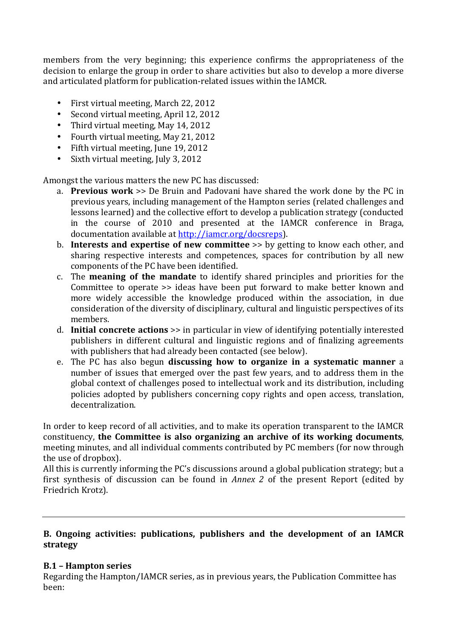members from the very beginning; this experience confirms the appropriateness of the decision to enlarge the group in order to share activities but also to develop a more diverse and articulated platform for publication-related issues within the IAMCR.

- First virtual meeting, March 22, 2012
- Second virtual meeting, April 12, 2012
- Third virtual meeting, May 14, 2012
- Fourth virtual meeting, May 21, 2012
- Fifth virtual meeting, June 19, 2012
- Sixth virtual meeting, July 3, 2012

Amongst the various matters the new PC has discussed:

- a. **Previous work** >> De Bruin and Padovani have shared the work done by the PC in previous years, including management of the Hampton series (related challenges and lessons learned) and the collective effort to develop a publication strategy (conducted in the course of 2010 and presented at the IAMCR conference in Braga, documentation available at http://iamcr.org/docsreps).
- b. **Interests and expertise of new committee** >> by getting to know each other, and sharing respective interests and competences, spaces for contribution by all new components of the PC have been identified.
- c. The **meaning of the mandate** to identify shared principles and priorities for the Committee to operate >> ideas have been put forward to make better known and more widely accessible the knowledge produced within the association, in due consideration of the diversity of disciplinary, cultural and linguistic perspectives of its members.
- d. **Initial concrete actions** >> in particular in view of identifying potentially interested publishers in different cultural and linguistic regions and of finalizing agreements with publishers that had already been contacted (see below).
- e. The PC has also begun **discussing how to organize in a systematic manner** a number of issues that emerged over the past few years, and to address them in the global context of challenges posed to intellectual work and its distribution, including policies adopted by publishers concerning copy rights and open access, translation, decentralization.

In order to keep record of all activities, and to make its operation transparent to the IAMCR constituency, **the Committee is also organizing an archive of its working documents**, meeting minutes, and all individual comments contributed by PC members (for now through the use of dropbox).

All this is currently informing the PC's discussions around a global publication strategy; but a first synthesis of discussion can be found in *Annex* 2 of the present Report (edited by Friedrich Krotz).

# B. Ongoing activities: publications, publishers and the development of an IAMCR **strategy**

# **B.1 – Hampton series**

Regarding the Hampton/IAMCR series, as in previous vears, the Publication Committee has been: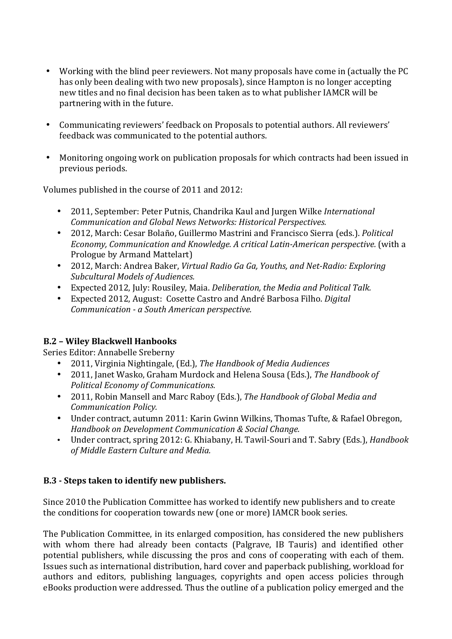- Working with the blind peer reviewers. Not many proposals have come in (actually the PC has only been dealing with two new proposals), since Hampton is no longer accepting new titles and no final decision has been taken as to what publisher IAMCR will be partnering with in the future.
- Communicating reviewers' feedback on Proposals to potential authors. All reviewers' feedback was communicated to the potential authors.
- Monitoring ongoing work on publication proposals for which contracts had been issued in previous periods.

Volumes published in the course of 2011 and 2012:

- 2011, September: Peter Putnis, Chandrika Kaul and Jurgen Wilke *International Communication and Global News Networks: Historical Perspectives.*
- 2012, March: Cesar Bolaño, Guillermo Mastrini and Francisco Sierra (eds.). *Political Economy, Communication and Knowledge. A critical Latin-American perspective.* (with a Prologue by Armand Mattelart)
- 2012, March: Andrea Baker, *Virtual Radio Ga Ga, Youths, and Net-Radio: Exploring Subcultural Models of Audiences.*
- Expected 2012, July: Rousiley, Maia. *Deliberation, the Media and Political Talk.*
- Expected 2012, August: Cosette Castro and André Barbosa Filho. *Digital Communication - a South American perspective.*

# **B.2 – Wiley Blackwell Hanbooks**

Series Editor: Annabelle Sreberny

- 2011, Virginia Nightingale, (Ed.), *The Handbook of Media Audiences*
- 2011, Janet Wasko, Graham Murdock and Helena Sousa (Eds.), The Handbook of *Political Economy of Communications.*
- 2011, Robin Mansell and Marc Raboy (Eds.), *The Handbook of Global Media and Communication Policy.*
- Under contract, autumn 2011: Karin Gwinn Wilkins, Thomas Tufte, & Rafael Obregon, *Handbook on Development Communication & Social Change.*
- Under contract, spring 2012: G. Khiabany, H. Tawil-Souri and T. Sabry (Eds.), *Handbook of Middle Eastern Culture and Media.*

# **B.3** - Steps taken to identify new publishers.

Since 2010 the Publication Committee has worked to identify new publishers and to create the conditions for cooperation towards new (one or more) IAMCR book series.

The Publication Committee, in its enlarged composition, has considered the new publishers with whom there had already been contacts (Palgrave, IB Tauris) and identified other potential publishers, while discussing the pros and cons of cooperating with each of them. Issues such as international distribution, hard cover and paperback publishing, workload for authors and editors, publishing languages, copyrights and open access policies through eBooks production were addressed. Thus the outline of a publication policy emerged and the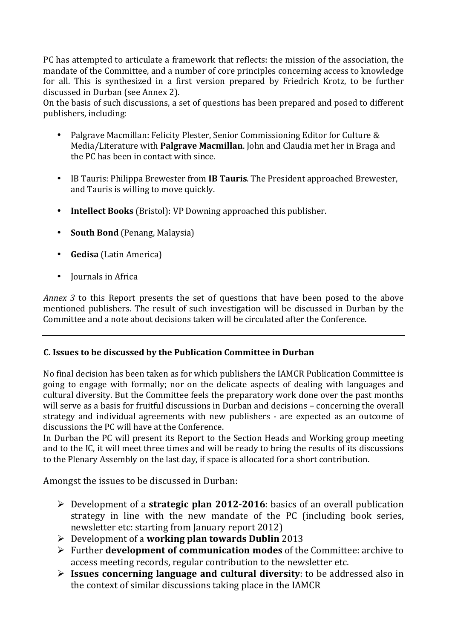PC has attempted to articulate a framework that reflects: the mission of the association, the mandate of the Committee, and a number of core principles concerning access to knowledge for all. This is synthesized in a first version prepared by Friedrich Krotz, to be further discussed in Durban (see Annex 2).

On the basis of such discussions, a set of questions has been prepared and posed to different publishers, including:

- Palgrave Macmillan: Felicity Plester, Senior Commissioning Editor for Culture & Media/Literature with **Palgrave Macmillan**. John and Claudia met her in Braga and the PC has been in contact with since.
- IB Tauris: Philippa Brewester from IB Tauris. The President approached Brewester, and Tauris is willing to move quickly.
- **Intellect Books** (Bristol): VP Downing approached this publisher.
- **South Bond** (Penang, Malaysia)
- **Gedisa** (Latin America)
- Iournals in Africa

*Annex* 3 to this Report presents the set of questions that have been posed to the above mentioned publishers. The result of such investigation will be discussed in Durban by the Committee and a note about decisions taken will be circulated after the Conference.

# **C.** Issues to be discussed by the Publication Committee in Durban

No final decision has been taken as for which publishers the IAMCR Publication Committee is going to engage with formally; nor on the delicate aspects of dealing with languages and cultural diversity. But the Committee feels the preparatory work done over the past months will serve as a basis for fruitful discussions in Durban and decisions – concerning the overall strategy and individual agreements with new publishers - are expected as an outcome of discussions the PC will have at the Conference.

In Durban the PC will present its Report to the Section Heads and Working group meeting and to the IC, it will meet three times and will be ready to bring the results of its discussions to the Plenary Assembly on the last day, if space is allocated for a short contribution.

Amongst the issues to be discussed in Durban:

- $\triangleright$  Development of a **strategic plan 2012-2016**: basics of an overall publication strategy in line with the new mandate of the PC (including book series, newsletter etc: starting from January report 2012)
- $\triangleright$  Development of a **working plan towards Dublin** 2013
- $\triangleright$  Further **development of communication modes** of the Committee: archive to access meeting records, regular contribution to the newsletter etc.
- **Issues concerning language and cultural diversity:** to be addressed also in the context of similar discussions taking place in the IAMCR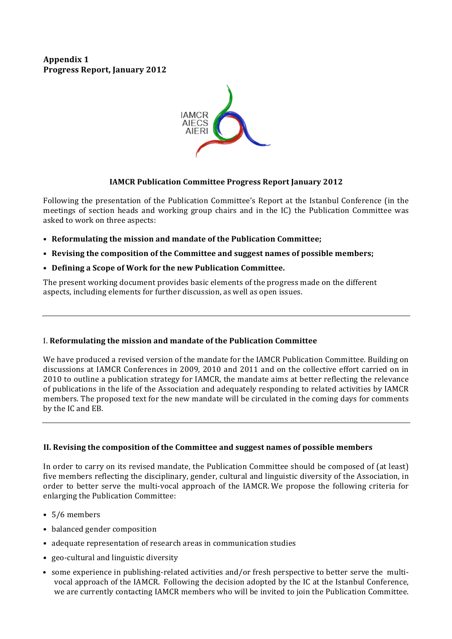**Appendix 1 Progress Report, January 2012**



### **IAMCR Publication Committee Progress Report January 2012**

Following the presentation of the Publication Committee's Report at the Istanbul Conference (in the meetings of section heads and working group chairs and in the IC) the Publication Committee was asked to work on three aspects:

- Reformulating the mission and mandate of the Publication Committee;
- Revising the composition of the Committee and suggest names of possible members;
- Defining a Scope of Work for the new Publication Committee.

The present working document provides basic elements of the progress made on the different aspects, including elements for further discussion, as well as open issues.

#### I. **Reformulating the mission and mandate of the Publication Committee**

We have produced a revised version of the mandate for the IAMCR Publication Committee. Building on discussions at IAMCR Conferences in 2009, 2010 and 2011 and on the collective effort carried on in 2010 to outline a publication strategy for IAMCR, the mandate aims at better reflecting the relevance of publications in the life of the Association and adequately responding to related activities by IAMCR members. The proposed text for the new mandate will be circulated in the coming days for comments by the IC and EB.

#### **II. Revising the composition of the Committee and suggest names of possible members**

In order to carry on its revised mandate, the Publication Committee should be composed of (at least) five members reflecting the disciplinary, gender, cultural and linguistic diversity of the Association, in order to better serve the multi-vocal approach of the IAMCR. We propose the following criteria for enlarging the Publication Committee:

- 5/6 members
- balanced gender composition
- adequate representation of research areas in communication studies
- geo-cultural and linguistic diversity
- some experience in publishing-related activities and/or fresh perspective to better serve the multivocal approach of the IAMCR. Following the decision adopted by the IC at the Istanbul Conference, we are currently contacting IAMCR members who will be invited to join the Publication Committee.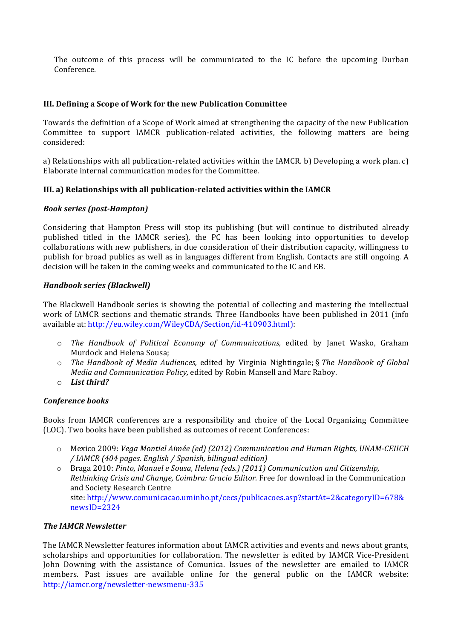The outcome of this process will be communicated to the IC before the upcoming Durban Conference.

#### **III.** Defining a Scope of Work for the new Publication Committee

Towards the definition of a Scope of Work aimed at strengthening the capacity of the new Publication Committee to support IAMCR publication-related activities, the following matters are being considered:

a) Relationships with all publication-related activities within the IAMCR. b) Developing a work plan. c) Elaborate internal communication modes for the Committee.

#### **III.** a) Relationships with all publication-related activities within the IAMCR

#### *Book series (post-Hampton)*

Considering that Hampton Press will stop its publishing (but will continue to distributed already published titled in the IAMCR series), the PC has been looking into opportunities to develop collaborations with new publishers, in due consideration of their distribution capacity, willingness to publish for broad publics as well as in languages different from English. Contacts are still ongoing. A decision will be taken in the coming weeks and communicated to the IC and EB.

#### *Handbook series (Blackwell)*

The Blackwell Handbook series is showing the potential of collecting and mastering the intellectual work of IAMCR sections and thematic strands. Three Handbooks have been published in 2011 (info available at: http://eu.wiley.com/WileyCDA/Section/id-410903.html):

- $\circ$  *The Handbook of Political Economy of Communications,* edited by Janet Wasko, Graham Murdock and Helena Sousa;
- The Handbook of Media Audiences, edited by Virginia Nightingale; § The Handbook of Global *Media and Communication Policy, edited by Robin Mansell and Marc Raboy.*
- o *List third?*

#### *Conference books*

Books from IAMCR conferences are a responsibility and choice of the Local Organizing Committee (LOC). Two books have been published as outcomes of recent Conferences:

o Mexico 2009: *Vega Montiel Aimée (ed) (2012) Communication and Human Rights, UNAM-CEIICH / IAMCR (404 pages. English / Spanish, bilingual edition)* 

o Braga 2010: *Pinto, Manuel e Sousa, Helena (eds.)* (2011) Communication and Citizenship, *Rethinking Crisis and Change, Coimbra: Gracio Editor.* Free for download in the Communication and Society Research Centre site: http://www.comunicacao.uminho.pt/cecs/publicacoes.asp?startAt=2&categoryID=678& newsID=2324

#### **The IAMCR Newsletter**

The IAMCR Newsletter features information about IAMCR activities and events and news about grants, scholarships and opportunities for collaboration. The newsletter is edited by IAMCR Vice-President John Downing with the assistance of Comunica. Issues of the newsletter are emailed to IAMCR members. Past issues are available online for the general public on the IAMCR website: http://iamcr.org/newsletter-newsmenu-335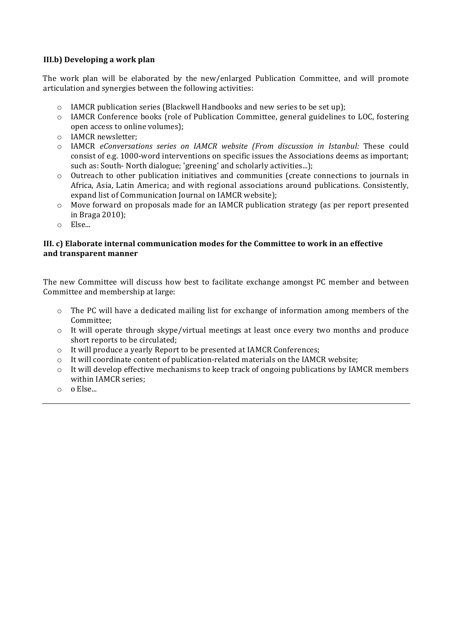### **III.b)** Developing a work plan

The work plan will be elaborated by the new/enlarged Publication Committee, and will promote articulation and synergies between the following activities:

- $\circ$  IAMCR publication series (Blackwell Handbooks and new series to be set up);
- $\circ$  IAMCR Conference books (role of Publication Committee, general guidelines to LOC, fostering open access to online volumes);
- o IAMCR newsletter:
- o IAMCR *eConversations series on IAMCR website (From discussion in Istanbul:*  These could consist of e.g. 1000-word interventions on specific issues the Associations deems as important; such as: South- North dialogue; 'greening' and scholarly activities...);
- $\circ$  Outreach to other publication initiatives and communities (create connections to journals in Africa, Asia, Latin America; and with regional associations around publications. Consistently, expand list of Communication Journal on IAMCR website);
- $\circ$  Move forward on proposals made for an IAMCR publication strategy (as per report presented in Braga 2010);
- o Else...

#### **III.** c) Elaborate internal communication modes for the Committee to work in an effective **and transparent manner**

The new Committee will discuss how best to facilitate exchange amongst PC member and between Committee and membership at large:

- o The PC will have a dedicated mailing list for exchange of information among members of the Committee;
- $\circ$  It will operate through skype/virtual meetings at least once every two months and produce short reports to be circulated;
- o It will produce a yearly Report to be presented at IAMCR Conferences;
- $\circ$  It will coordinate content of publication-related materials on the IAMCR website;
- $\circ$  It will develop effective mechanisms to keep track of ongoing publications by IAMCR members within IAMCR series:
- $\circ$  o Else...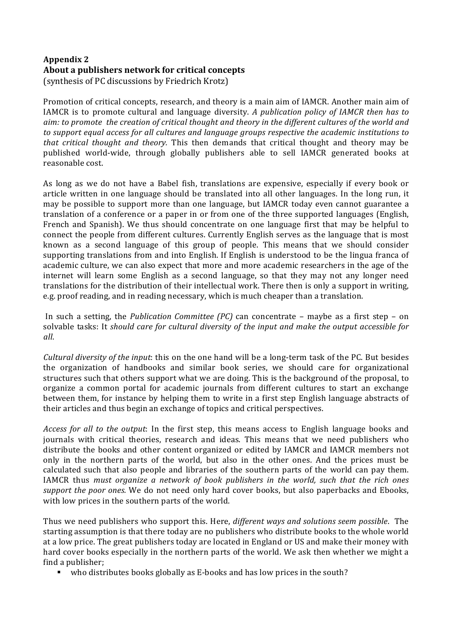### **Appendix 2** About a publishers network for critical concepts (synthesis of PC discussions by Friedrich Krotz)

Promotion of critical concepts, research, and theory is a main aim of IAMCR. Another main aim of IAMCR is to promote cultural and language diversity. *A publication policy of IAMCR then has to aim:* to promote the creation of critical thought and theory in the different cultures of the world and to support equal access for all cultures and language groups respective the academic institutions to *that critical thought and theory.* This then demands that critical thought and theory may be published world-wide, through globally publishers able to sell IAMCR generated books at reasonable cost.

As long as we do not have a Babel fish, translations are expensive, especially if every book or article written in one language should be translated into all other languages. In the long run, it may be possible to support more than one language, but IAMCR today even cannot guarantee a translation of a conference or a paper in or from one of the three supported languages (English, French and Spanish). We thus should concentrate on one language first that may be helpful to connect the people from different cultures. Currently English serves as the language that is most known as a second language of this group of people. This means that we should consider supporting translations from and into English. If English is understood to be the lingua franca of academic culture, we can also expect that more and more academic researchers in the age of the internet will learn some English as a second language, so that they may not any longer need translations for the distribution of their intellectual work. There then is only a support in writing, e.g. proof reading, and in reading necessary, which is much cheaper than a translation.

In such a setting, the *Publication Committee* (*PC*) can concentrate – maybe as a first step – on solvable tasks: It *should care for cultural diversity of the input and make the output accessible for all*. 

*Cultural diversity of the input:* this on the one hand will be a long-term task of the PC. But besides the organization of handbooks and similar book series, we should care for organizational structures such that others support what we are doing. This is the background of the proposal, to organize a common portal for academic journals from different cultures to start an exchange between them, for instance by helping them to write in a first step English language abstracts of their articles and thus begin an exchange of topics and critical perspectives.

*Access for all to the output*: In the first step, this means access to English language books and journals with critical theories, research and ideas. This means that we need publishers who distribute the books and other content organized or edited by IAMCR and IAMCR members not only in the northern parts of the world, but also in the other ones. And the prices must be calculated such that also people and libraries of the southern parts of the world can pay them. IAMCR thus *must organize* a network of book publishers in the world, such that the rich ones *support the poor ones.* We do not need only hard cover books, but also paperbacks and Ebooks, with low prices in the southern parts of the world.

Thus we need publishers who support this. Here, *different ways and solutions seem possible*. The starting assumption is that there today are no publishers who distribute books to the whole world at a low price. The great publishers today are located in England or US and make their money with hard cover books especially in the northern parts of the world. We ask then whether we might a find a publisher:

• who distributes books globally as E-books and has low prices in the south?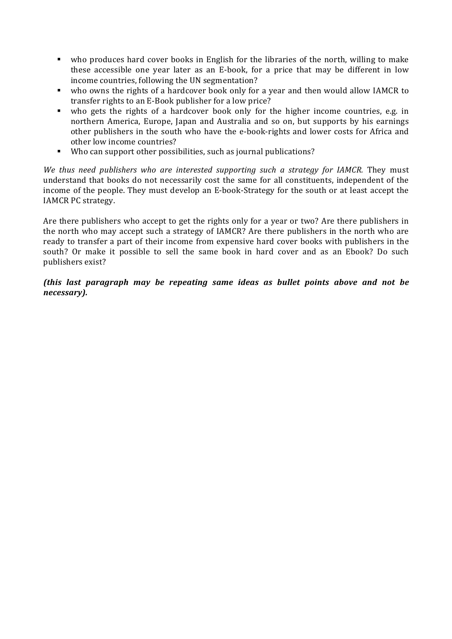- who produces hard cover books in English for the libraries of the north, willing to make these accessible one year later as an E-book, for a price that may be different in low income countries, following the UN segmentation?
- who owns the rights of a hardcover book only for a year and then would allow IAMCR to transfer rights to an E-Book publisher for a low price?
- who gets the rights of a hardcover book only for the higher income countries, e.g. in northern America, Europe, Japan and Australia and so on, but supports by his earnings other publishers in the south who have the e-book-rights and lower costs for Africa and other low income countries?
- Who can support other possibilities, such as journal publications?

*We* thus need publishers who are interested supporting such a strategy for *IAMCR*. They must understand that books do not necessarily cost the same for all constituents, independent of the income of the people. They must develop an E-book-Strategy for the south or at least accept the IAMCR PC strategy.

Are there publishers who accept to get the rights only for a year or two? Are there publishers in the north who may accept such a strategy of IAMCR? Are there publishers in the north who are ready to transfer a part of their income from expensive hard cover books with publishers in the south? Or make it possible to sell the same book in hard cover and as an Ebook? Do such publishers exist?

*(this last paragraph may be repeating same ideas as bullet points above and not be necessary).*